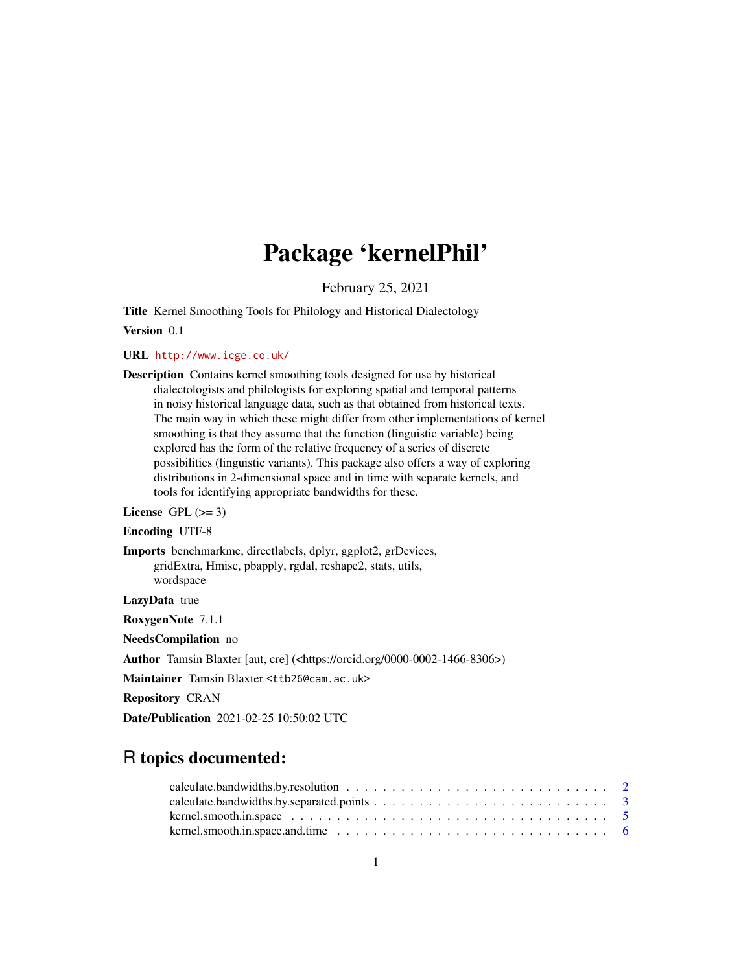## Package 'kernelPhil'

February 25, 2021

Title Kernel Smoothing Tools for Philology and Historical Dialectology Version 0.1

URL <http://www.icge.co.uk/>

Description Contains kernel smoothing tools designed for use by historical dialectologists and philologists for exploring spatial and temporal patterns in noisy historical language data, such as that obtained from historical texts. The main way in which these might differ from other implementations of kernel smoothing is that they assume that the function (linguistic variable) being explored has the form of the relative frequency of a series of discrete possibilities (linguistic variants). This package also offers a way of exploring distributions in 2-dimensional space and in time with separate kernels, and tools for identifying appropriate bandwidths for these.

#### License GPL  $(>= 3)$

#### Encoding UTF-8

Imports benchmarkme, directlabels, dplyr, ggplot2, grDevices, gridExtra, Hmisc, pbapply, rgdal, reshape2, stats, utils, wordspace

LazyData true

RoxygenNote 7.1.1

NeedsCompilation no

Author Tamsin Blaxter [aut, cre] (<https://orcid.org/0000-0002-1466-8306>)

Maintainer Tamsin Blaxter <ttb26@cam.ac.uk>

Repository CRAN

Date/Publication 2021-02-25 10:50:02 UTC

## R topics documented:

| kernel.smooth.in.space.and.time $\ldots \ldots \ldots \ldots \ldots \ldots \ldots \ldots \ldots \ldots \ldots \ldots$ |  |
|-----------------------------------------------------------------------------------------------------------------------|--|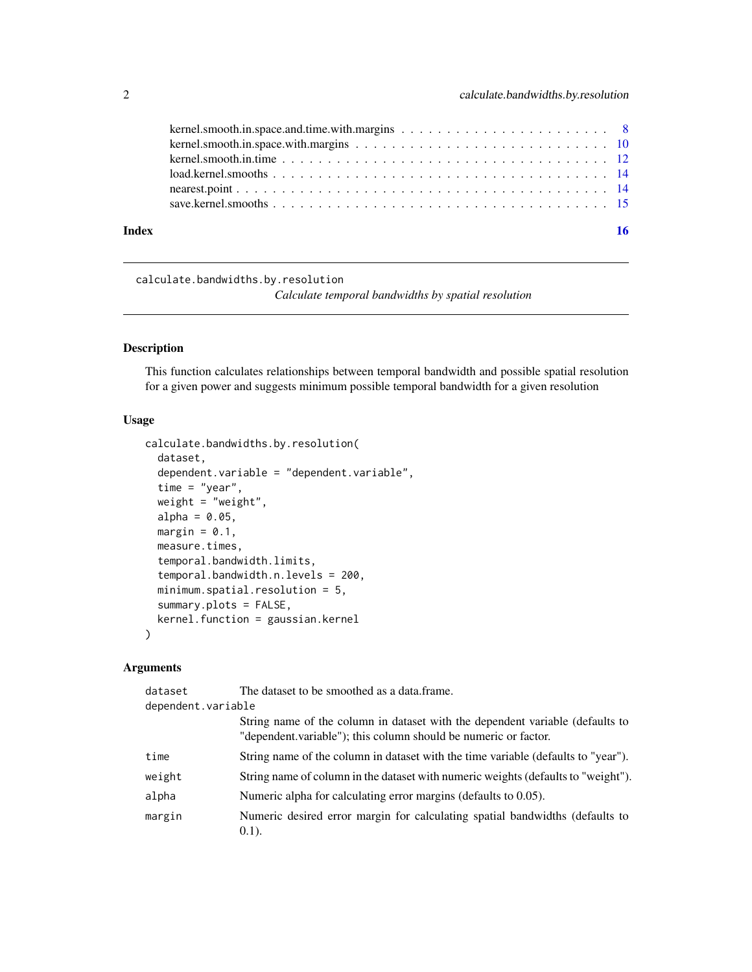<span id="page-1-0"></span>

|       | $load.$ kernel. smooths $\ldots$ $\ldots$ $\ldots$ $\ldots$ $\ldots$ $\ldots$ $\ldots$ $\ldots$ $\ldots$ $\ldots$ $\ldots$ $\ldots$ $\ldots$ $\ldots$ $\vdots$ |    |
|-------|----------------------------------------------------------------------------------------------------------------------------------------------------------------|----|
|       |                                                                                                                                                                |    |
|       |                                                                                                                                                                |    |
| Index |                                                                                                                                                                | 16 |
|       |                                                                                                                                                                |    |

calculate.bandwidths.by.resolution

*Calculate temporal bandwidths by spatial resolution*

## Description

This function calculates relationships between temporal bandwidth and possible spatial resolution for a given power and suggests minimum possible temporal bandwidth for a given resolution

#### Usage

```
calculate.bandwidths.by.resolution(
  dataset,
  dependent.variable = "dependent.variable",
  time = "year",
  weight = "weight",
  alpha = 0.05,
  margin = 0.1,
  measure.times,
  temporal.bandwidth.limits,
  temporal.bandwidth.n.levels = 200,
  minimum.spatial.resolution = 5,
  summary.plots = FALSE,
  kernel.function = gaussian.kernel
)
```

| dataset            | The dataset to be smoothed as a data.frame.                                                                                                      |
|--------------------|--------------------------------------------------------------------------------------------------------------------------------------------------|
| dependent.variable |                                                                                                                                                  |
|                    | String name of the column in dataset with the dependent variable (defaults to<br>"dependent.variable"); this column should be numeric or factor. |
| time               | String name of the column in dataset with the time variable (defaults to "year").                                                                |
| weight             | String name of column in the dataset with numeric weights (defaults to "weight").                                                                |
| alpha              | Numeric alpha for calculating error margins (defaults to 0.05).                                                                                  |
| margin             | Numeric desired error margin for calculating spatial bandwidths (defaults to<br>$(0.1)$ .                                                        |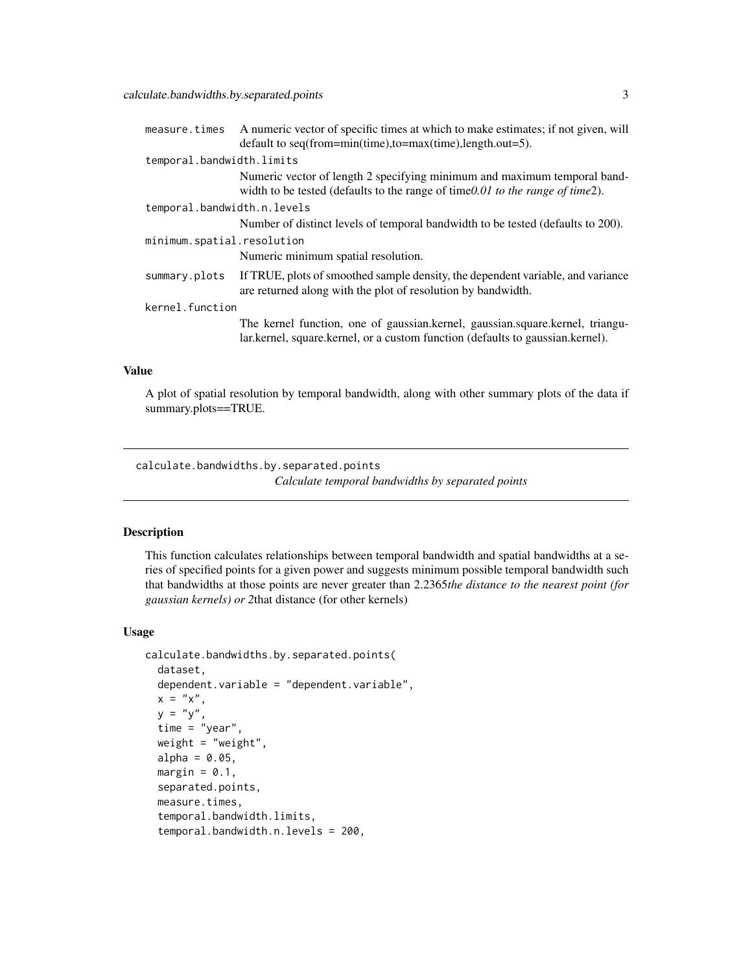<span id="page-2-0"></span>

| measure.times               | A numeric vector of specific times at which to make estimates; if not given, will                                                                                |
|-----------------------------|------------------------------------------------------------------------------------------------------------------------------------------------------------------|
|                             | default to seq(from=min(time),to=max(time),length.out=5).                                                                                                        |
| temporal.bandwidth.limits   |                                                                                                                                                                  |
|                             | Numeric vector of length 2 specifying minimum and maximum temporal band-<br>width to be tested (defaults to the range of time $0.01$ to the range of time $2$ ). |
| temporal.bandwidth.n.levels |                                                                                                                                                                  |
|                             | Number of distinct levels of temporal bandwidth to be tested (defaults to 200).                                                                                  |
| minimum.spatial.resolution  |                                                                                                                                                                  |
|                             | Numeric minimum spatial resolution.                                                                                                                              |
| summary.plots               | If TRUE, plots of smoothed sample density, the dependent variable, and variance<br>are returned along with the plot of resolution by bandwidth.                  |
| kernel.function             |                                                                                                                                                                  |
|                             | The kernel function, one of gaussian.kernel, gaussian.square.kernel, triangu-<br>lar.kernel, square.kernel, or a custom function (defaults to gaussian.kernel).  |

A plot of spatial resolution by temporal bandwidth, along with other summary plots of the data if summary.plots==TRUE.

calculate.bandwidths.by.separated.points *Calculate temporal bandwidths by separated points*

## Description

This function calculates relationships between temporal bandwidth and spatial bandwidths at a series of specified points for a given power and suggests minimum possible temporal bandwidth such that bandwidths at those points are never greater than 2.2365*the distance to the nearest point (for gaussian kernels) or 2*that distance (for other kernels)

#### Usage

```
calculate.bandwidths.by.separated.points(
  dataset,
  dependent.variable = "dependent.variable",
  x = "x",y = "y",time = "year",
  weight = "weight",
  alpha = 0.05,
  margin = 0.1,
  separated.points,
  measure.times,
  temporal.bandwidth.limits,
  temporal.bandwidth.n.levels = 200,
```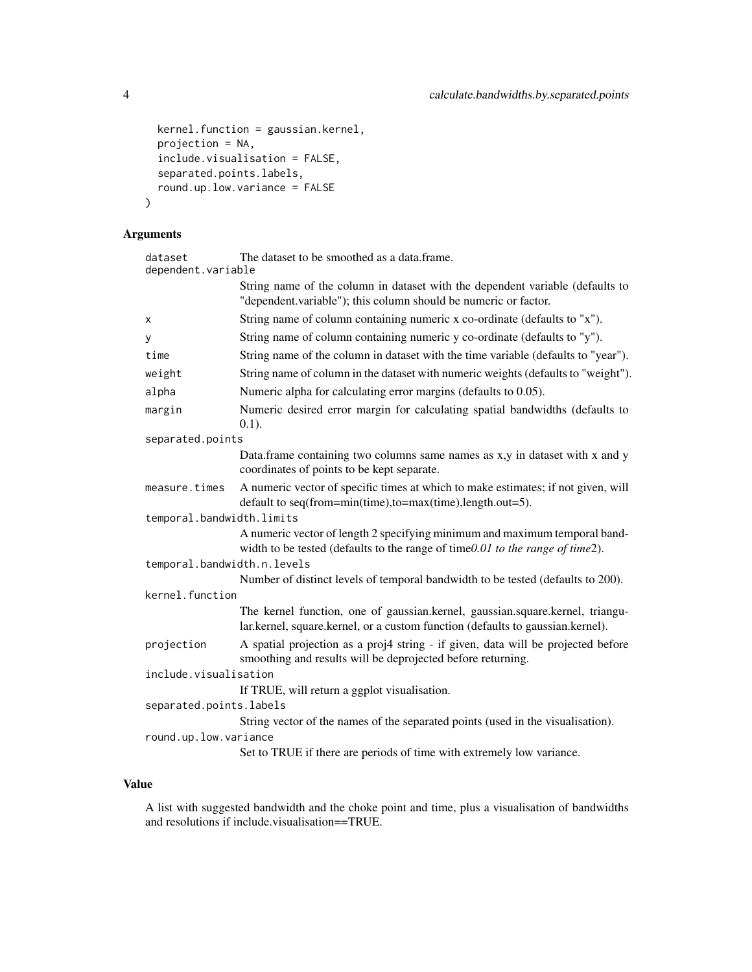```
kernel.function = gaussian.kernel,
 projection = NA,
  include.visualisation = FALSE,
  separated.points.labels,
  round.up.low.variance = FALSE
\overline{\phantom{a}}
```
## Arguments

| dataset<br>dependent.variable | The dataset to be smoothed as a data.frame.                                                                                                                     |  |
|-------------------------------|-----------------------------------------------------------------------------------------------------------------------------------------------------------------|--|
|                               | String name of the column in dataset with the dependent variable (defaults to<br>"dependent.variable"); this column should be numeric or factor.                |  |
| x                             | String name of column containing numeric x co-ordinate (defaults to "x").                                                                                       |  |
| y                             | String name of column containing numeric y co-ordinate (defaults to "y").                                                                                       |  |
| time                          | String name of the column in dataset with the time variable (defaults to "year").                                                                               |  |
| weight                        | String name of column in the dataset with numeric weights (defaults to "weight").                                                                               |  |
| alpha                         | Numeric alpha for calculating error margins (defaults to 0.05).                                                                                                 |  |
| margin                        | Numeric desired error margin for calculating spatial bandwidths (defaults to<br>$0.1$ ).                                                                        |  |
| separated.points              |                                                                                                                                                                 |  |
|                               | Data. frame containing two columns same names as x,y in dataset with x and y<br>coordinates of points to be kept separate.                                      |  |
| measure.times                 | A numeric vector of specific times at which to make estimates; if not given, will<br>default to seq(from=min(time),to=max(time),length.out=5).                  |  |
| temporal.bandwidth.limits     |                                                                                                                                                                 |  |
|                               | A numeric vector of length 2 specifying minimum and maximum temporal band-<br>width to be tested (defaults to the range of time0.01 to the range of time2).     |  |
| temporal.bandwidth.n.levels   |                                                                                                                                                                 |  |
|                               | Number of distinct levels of temporal bandwidth to be tested (defaults to 200).                                                                                 |  |
| kernel.function               |                                                                                                                                                                 |  |
|                               | The kernel function, one of gaussian.kernel, gaussian.square.kernel, triangu-<br>lar.kernel, square.kernel, or a custom function (defaults to gaussian.kernel). |  |
| projection                    | A spatial projection as a proj4 string - if given, data will be projected before<br>smoothing and results will be deprojected before returning.                 |  |
| include.visualisation         |                                                                                                                                                                 |  |
|                               | If TRUE, will return a ggplot visualisation.                                                                                                                    |  |
| separated.points.labels       |                                                                                                                                                                 |  |
|                               | String vector of the names of the separated points (used in the visualisation).                                                                                 |  |
| round.up.low.variance         |                                                                                                                                                                 |  |
|                               | Set to TRUE if there are periods of time with extremely low variance.                                                                                           |  |

## Value

A list with suggested bandwidth and the choke point and time, plus a visualisation of bandwidths and resolutions if include.visualisation==TRUE.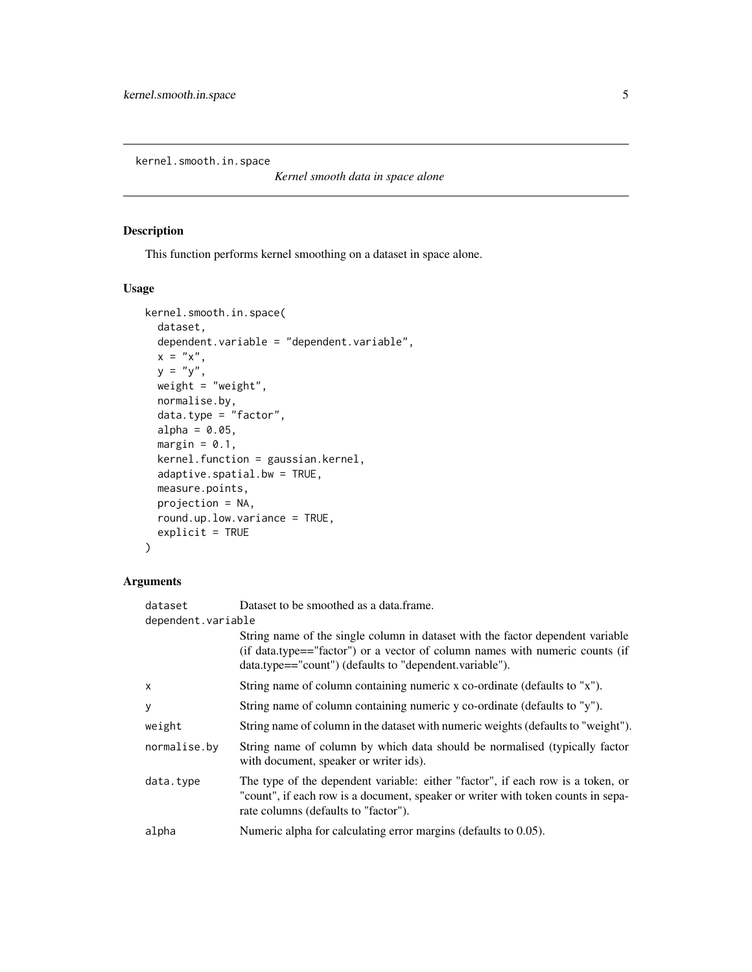<span id="page-4-0"></span>kernel.smooth.in.space

*Kernel smooth data in space alone*

#### Description

This function performs kernel smoothing on a dataset in space alone.

#### Usage

```
kernel.smooth.in.space(
 dataset,
 dependent.variable = "dependent.variable",
 x = "x",y = "y",weight = "weight",
 normalise.by,
 data.type = "factor",
  alpha = 0.05,
 margin = 0.1,
 kernel.function = gaussian.kernel,
 adaptive.spatial.bw = TRUE,
 measure.points,
 projection = NA,
  round.up.low.variance = TRUE,
 explicit = TRUE
)
```

| dataset            | Dataset to be smoothed as a data.frame.                                                                                                                                                                                   |  |
|--------------------|---------------------------------------------------------------------------------------------------------------------------------------------------------------------------------------------------------------------------|--|
| dependent.variable |                                                                                                                                                                                                                           |  |
|                    | String name of the single column in dataset with the factor dependent variable<br>(if data.type=="factor") or a vector of column names with numeric counts (if<br>data.type=="count") (defaults to "dependent.variable"). |  |
| $\mathsf{x}$       | String name of column containing numeric x co-ordinate (defaults to "x").                                                                                                                                                 |  |
| y                  | String name of column containing numeric y co-ordinate (defaults to "y").                                                                                                                                                 |  |
| weight             | String name of column in the dataset with numeric weights (defaults to "weight").                                                                                                                                         |  |
| normalise.by       | String name of column by which data should be normalised (typically factor<br>with document, speaker or writer ids).                                                                                                      |  |
| data.type          | The type of the dependent variable: either "factor", if each row is a token, or<br>"count", if each row is a document, speaker or writer with token counts in sepa-<br>rate columns (defaults to "factor").               |  |
| alpha              | Numeric alpha for calculating error margins (defaults to 0.05).                                                                                                                                                           |  |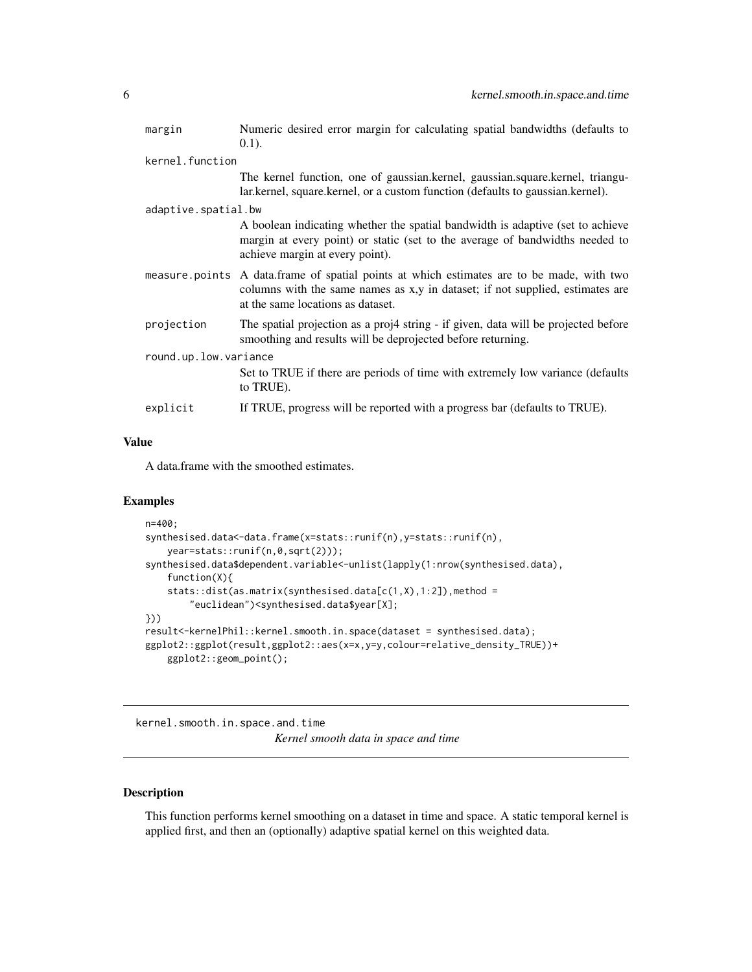<span id="page-5-0"></span>

| margin                | Numeric desired error margin for calculating spatial bandwidths (defaults to                                                                                                                                    |  |
|-----------------------|-----------------------------------------------------------------------------------------------------------------------------------------------------------------------------------------------------------------|--|
|                       | $(0.1)$ .                                                                                                                                                                                                       |  |
| kernel.function       |                                                                                                                                                                                                                 |  |
|                       | The kernel function, one of gaussian.kernel, gaussian.square.kernel, triangu-<br>lar.kernel, square.kernel, or a custom function (defaults to gaussian.kernel).                                                 |  |
| adaptive.spatial.bw   |                                                                                                                                                                                                                 |  |
|                       | A boolean indicating whether the spatial bandwidth is adaptive (set to achieve<br>margin at every point) or static (set to the average of bandwidths needed to<br>achieve margin at every point).               |  |
|                       | measure points A data.frame of spatial points at which estimates are to be made, with two<br>columns with the same names as x,y in dataset; if not supplied, estimates are<br>at the same locations as dataset. |  |
| projection            | The spatial projection as a proj4 string - if given, data will be projected before<br>smoothing and results will be deprojected before returning.                                                               |  |
| round.up.low.variance |                                                                                                                                                                                                                 |  |
|                       | Set to TRUE if there are periods of time with extremely low variance (defaults)<br>to TRUE).                                                                                                                    |  |
| explicit              | If TRUE, progress will be reported with a progress bar (defaults to TRUE).                                                                                                                                      |  |

A data.frame with the smoothed estimates.

#### Examples

```
n=400;
synthesised.data<-data.frame(x=stats::runif(n),y=stats::runif(n),
   year=stats::runif(n,0,sqrt(2)));
synthesised.data$dependent.variable<-unlist(lapply(1:nrow(synthesised.data),
   function(X){
   stats::dist(as.matrix(synthesised.data[c(1,X),1:2]),method =
       "euclidean")<synthesised.data$year[X];
}))
result<-kernelPhil::kernel.smooth.in.space(dataset = synthesised.data);
ggplot2::ggplot(result,ggplot2::aes(x=x,y=y,colour=relative_density_TRUE))+
   ggplot2::geom_point();
```
kernel.smooth.in.space.and.time

*Kernel smooth data in space and time*

## Description

This function performs kernel smoothing on a dataset in time and space. A static temporal kernel is applied first, and then an (optionally) adaptive spatial kernel on this weighted data.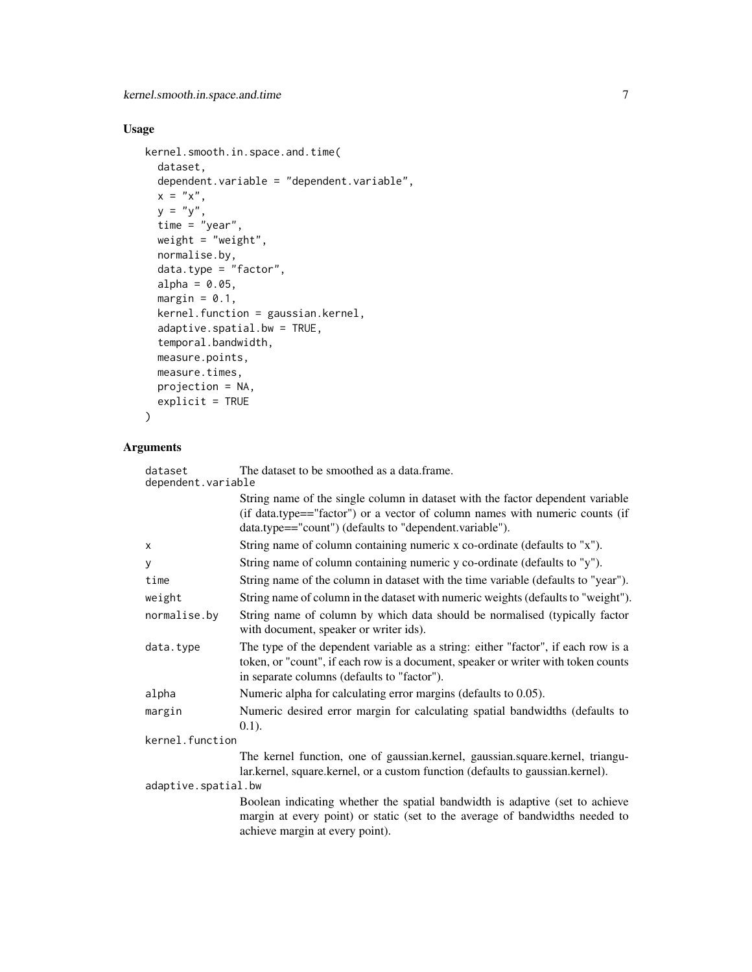## Usage

```
kernel.smooth.in.space.and.time(
 dataset,
 dependent.variable = "dependent.variable",
 x = "x",y = "y",time = "year",
 weight = "weight",
 normalise.by,
 data.type = "factor",
 alpha = 0.05,
 margin = 0.1,
 kernel.function = gaussian.kernel,
  adaptive.spatial.bw = TRUE,
  temporal.bandwidth,
 measure.points,
 measure.times,
 projection = NA,
 explicit = TRUE
```

```
\mathcal{L}
```

| dataset<br>dependent.variable | The dataset to be smoothed as a data.frame.                                                                                                                                                                               |  |
|-------------------------------|---------------------------------------------------------------------------------------------------------------------------------------------------------------------------------------------------------------------------|--|
|                               | String name of the single column in dataset with the factor dependent variable<br>(if data.type=="factor") or a vector of column names with numeric counts (if<br>data.type=="count") (defaults to "dependent.variable"). |  |
| x                             | String name of column containing numeric x co-ordinate (defaults to "x").                                                                                                                                                 |  |
| y                             | String name of column containing numeric y co-ordinate (defaults to "y").                                                                                                                                                 |  |
| time                          | String name of the column in dataset with the time variable (defaults to "year").                                                                                                                                         |  |
| weight                        | String name of column in the dataset with numeric weights (defaults to "weight").                                                                                                                                         |  |
| normalise.by                  | String name of column by which data should be normalised (typically factor<br>with document, speaker or writer ids).                                                                                                      |  |
| data.type                     | The type of the dependent variable as a string: either "factor", if each row is a<br>token, or "count", if each row is a document, speaker or writer with token counts<br>in separate columns (defaults to "factor").     |  |
| alpha                         | Numeric alpha for calculating error margins (defaults to 0.05).                                                                                                                                                           |  |
| margin                        | Numeric desired error margin for calculating spatial bandwidths (defaults to<br>$(0.1)$ .                                                                                                                                 |  |
| kernel.function               |                                                                                                                                                                                                                           |  |
|                               | The kernel function, one of gaussian.kernel, gaussian.square.kernel, triangu-<br>lar.kernel, square.kernel, or a custom function (defaults to gaussian.kernel).                                                           |  |
| adaptive.spatial.bw           |                                                                                                                                                                                                                           |  |
|                               | Boolean indicating whether the spatial bandwidth is adaptive (set to achieve<br>margin at every point) or static (set to the average of bandwidths needed to<br>achieve margin at every point).                           |  |
|                               |                                                                                                                                                                                                                           |  |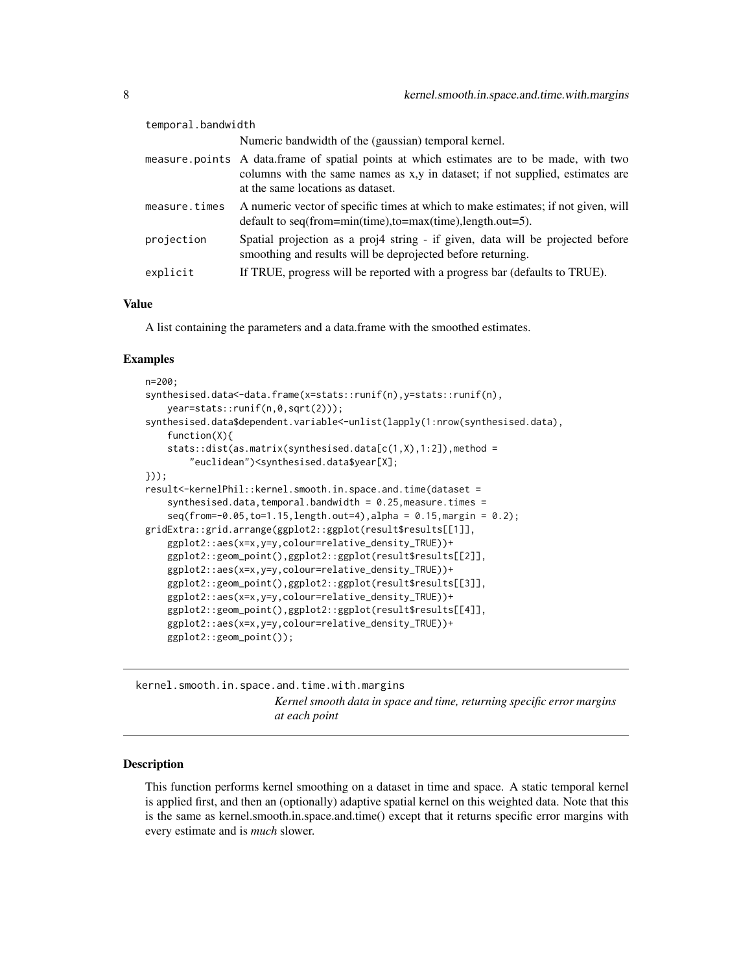<span id="page-7-0"></span>

| temporal.bandwidth |                                                                                                                                                                                                                 |
|--------------------|-----------------------------------------------------------------------------------------------------------------------------------------------------------------------------------------------------------------|
|                    | Numeric bandwidth of the (gaussian) temporal kernel.                                                                                                                                                            |
|                    | measure points A data frame of spatial points at which estimates are to be made, with two<br>columns with the same names as x,y in dataset; if not supplied, estimates are<br>at the same locations as dataset. |
| measure.times      | A numeric vector of specific times at which to make estimates; if not given, will<br>default to seq(from=min(time),to=max(time),length.out=5).                                                                  |
| projection         | Spatial projection as a proj4 string - if given, data will be projected before<br>smoothing and results will be deprojected before returning.                                                                   |
| explicit           | If TRUE, progress will be reported with a progress bar (defaults to TRUE).                                                                                                                                      |

A list containing the parameters and a data.frame with the smoothed estimates.

#### Examples

```
n=200;
synthesised.data<-data.frame(x=stats::runif(n),y=stats::runif(n),
    year=stats::runif(n,0,sqrt(2)));
synthesised.data$dependent.variable<-unlist(lapply(1:nrow(synthesised.data),
    function(X){
    stats::dist(as.matrix(synthesised.data[c(1,X),1:2]), method ="euclidean")<synthesised.data$year[X];
}));
result<-kernelPhil::kernel.smooth.in.space.and.time(dataset =
    synthesised.data.temporal.bandwidth = 0.25.measure.times =
    seq(from=-0.05, to=1.15, length.out=4), alpha = 0.15, margin = 0.2);gridExtra::grid.arrange(ggplot2::ggplot(result$results[[1]],
    ggplot2::aes(x=x,y=y,colour=relative_density_TRUE))+
    ggplot2::geom_point(),ggplot2::ggplot(result$results[[2]],
    ggplot2::aes(x=x,y=y,colour=relative_density_TRUE))+
    ggplot2::geom_point(),ggplot2::ggplot(result$results[[3]],
    ggplot2::aes(x=x,y=y,colour=relative_density_TRUE))+
   ggplot2::geom_point(),ggplot2::ggplot(result$results[[4]],
   ggplot2::aes(x=x,y=y,colour=relative_density_TRUE))+
    ggplot2::geom_point());
```
kernel.smooth.in.space.and.time.with.margins *Kernel smooth data in space and time, returning specific error margins at each point*

#### Description

This function performs kernel smoothing on a dataset in time and space. A static temporal kernel is applied first, and then an (optionally) adaptive spatial kernel on this weighted data. Note that this is the same as kernel.smooth.in.space.and.time() except that it returns specific error margins with every estimate and is *much* slower.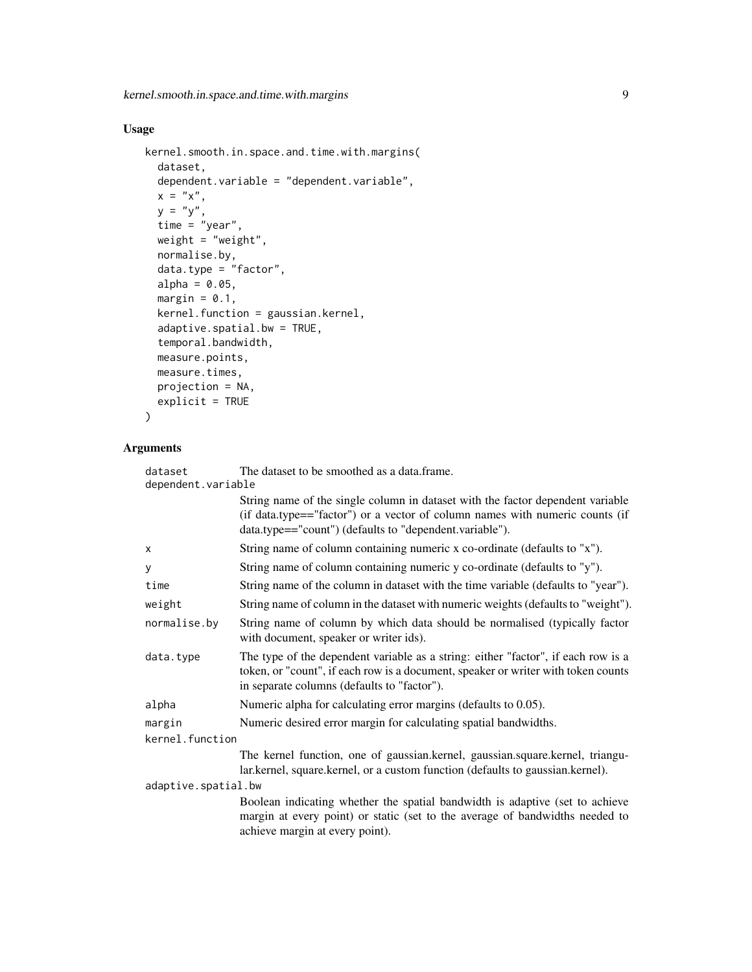## Usage

```
kernel.smooth.in.space.and.time.with.margins(
 dataset,
 dependent.variable = "dependent.variable",
 x = "x",y = "y",time = "year",
 weight = "weight",
 normalise.by,
 data.type = "factor",
 alpha = 0.05,
 margin = 0.1,
 kernel.function = gaussian.kernel,
 adaptive.spatial.bw = TRUE,
  temporal.bandwidth,
 measure.points,
 measure.times,
 projection = NA,
 explicit = TRUE
```

```
\mathcal{L}
```

| dataset             | The dataset to be smoothed as a data.frame.                                                                                                                                                                               |
|---------------------|---------------------------------------------------------------------------------------------------------------------------------------------------------------------------------------------------------------------------|
| dependent.variable  | String name of the single column in dataset with the factor dependent variable<br>(if data.type=="factor") or a vector of column names with numeric counts (if<br>data.type=="count") (defaults to "dependent.variable"). |
| X                   | String name of column containing numeric x co-ordinate (defaults to "x").                                                                                                                                                 |
| у                   | String name of column containing numeric y co-ordinate (defaults to "y").                                                                                                                                                 |
| time                | String name of the column in dataset with the time variable (defaults to "year").                                                                                                                                         |
| weight              | String name of column in the dataset with numeric weights (defaults to "weight").                                                                                                                                         |
| normalise.by        | String name of column by which data should be normalised (typically factor<br>with document, speaker or writer ids).                                                                                                      |
| data.type           | The type of the dependent variable as a string: either "factor", if each row is a<br>token, or "count", if each row is a document, speaker or writer with token counts<br>in separate columns (defaults to "factor").     |
| alpha               | Numeric alpha for calculating error margins (defaults to 0.05).                                                                                                                                                           |
| margin              | Numeric desired error margin for calculating spatial bandwidths.                                                                                                                                                          |
| kernel.function     |                                                                                                                                                                                                                           |
|                     | The kernel function, one of gaussian.kernel, gaussian.square.kernel, triangu-<br>lar.kernel, square.kernel, or a custom function (defaults to gaussian.kernel).                                                           |
| adaptive.spatial.bw |                                                                                                                                                                                                                           |
|                     | Boolean indicating whether the spatial bandwidth is adaptive (set to achieve<br>margin at every point) or static (set to the average of bandwidths needed to<br>achieve margin at every point).                           |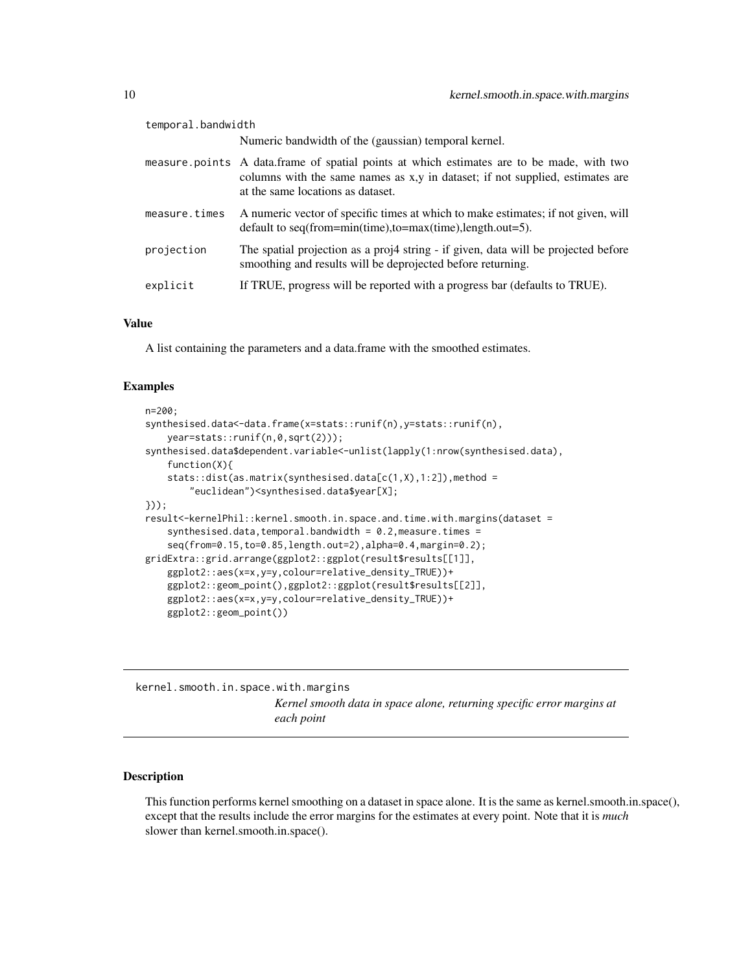<span id="page-9-0"></span>

| temporal.bandwidth |                                                                                                                                                                                                                 |
|--------------------|-----------------------------------------------------------------------------------------------------------------------------------------------------------------------------------------------------------------|
|                    | Numeric bandwidth of the (gaussian) temporal kernel.                                                                                                                                                            |
|                    | measure points A data frame of spatial points at which estimates are to be made, with two<br>columns with the same names as x,y in dataset; if not supplied, estimates are<br>at the same locations as dataset. |
| measure.times      | A numeric vector of specific times at which to make estimates; if not given, will<br>default to seq(from=min(time),to=max(time),length.out=5).                                                                  |
| projection         | The spatial projection as a proj4 string - if given, data will be projected before<br>smoothing and results will be deprojected before returning.                                                               |
| explicit           | If TRUE, progress will be reported with a progress bar (defaults to TRUE).                                                                                                                                      |

A list containing the parameters and a data.frame with the smoothed estimates.

#### Examples

```
n=200;
synthesised.data<-data.frame(x=stats::runif(n),y=stats::runif(n),
   year=stats::runif(n,0,sqrt(2)));
synthesised.data$dependent.variable<-unlist(lapply(1:nrow(synthesised.data),
    function(X){
    stats::dist(as.matrix(synthesised.data[c(1,X),1:2]),method =
        "euclidean")<synthesised.data$year[X];
}));
result<-kernelPhil::kernel.smooth.in.space.and.time.with.margins(dataset =
    synthesised.data,temporal.bandwidth = 0.2, measure.times =
    seq(from=0.15,to=0.85,length.out=2),alpha=0.4,margin=0.2);
gridExtra::grid.arrange(ggplot2::ggplot(result$results[[1]],
   ggplot2::aes(x=x,y=y,colour=relative_density_TRUE))+
    ggplot2::geom_point(),ggplot2::ggplot(result$results[[2]],
    ggplot2::aes(x=x,y=y,colour=relative_density_TRUE))+
    ggplot2::geom_point())
```
kernel.smooth.in.space.with.margins *Kernel smooth data in space alone, returning specific error margins at each point*

#### Description

This function performs kernel smoothing on a dataset in space alone. It is the same as kernel.smooth.in.space(), except that the results include the error margins for the estimates at every point. Note that it is *much* slower than kernel.smooth.in.space().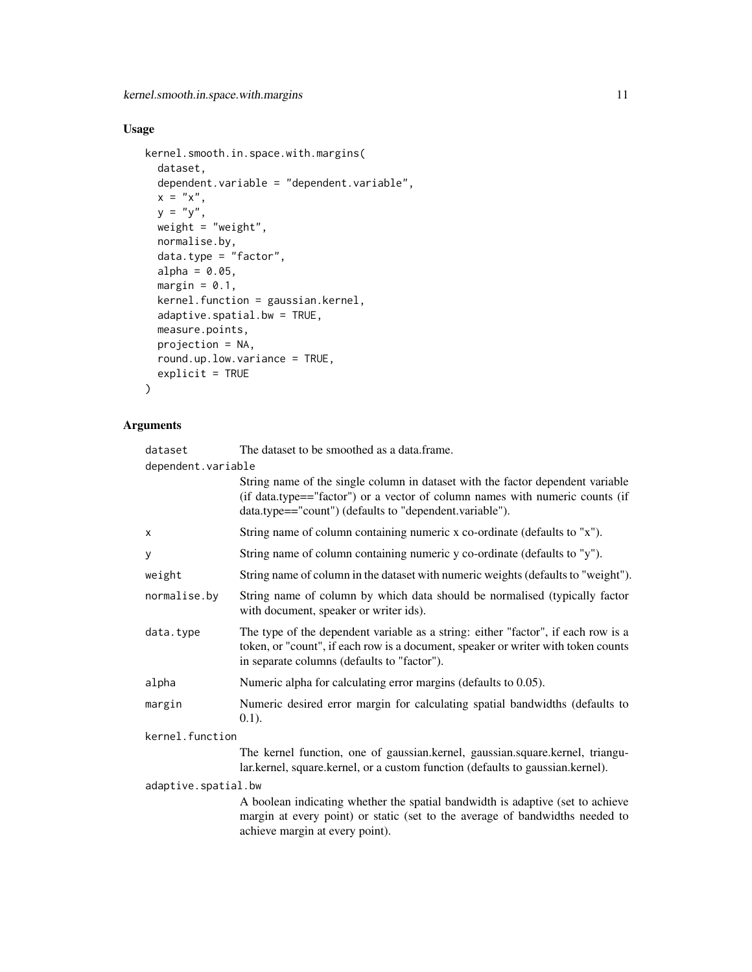## Usage

```
kernel.smooth.in.space.with.margins(
  dataset,
 dependent.variable = "dependent.variable",
 x = "x",y = "y",weight = "weight",
 normalise.by,
 data.type = "factor",
 alpha = 0.05,
 margin = 0.1,
 kernel.function = gaussian.kernel,
  adaptive.spatial.bw = TRUE,
 measure.points,
 projection = NA,
 round.up.low.variance = TRUE,
 explicit = TRUE
\mathcal{L}
```

| dataset             | The dataset to be smoothed as a data.frame.                                                                                                                                                                               |  |
|---------------------|---------------------------------------------------------------------------------------------------------------------------------------------------------------------------------------------------------------------------|--|
| dependent.variable  |                                                                                                                                                                                                                           |  |
|                     | String name of the single column in dataset with the factor dependent variable<br>(if data.type=="factor") or a vector of column names with numeric counts (if<br>data.type=="count") (defaults to "dependent.variable"). |  |
| X                   | String name of column containing numeric x co-ordinate (defaults to "x").                                                                                                                                                 |  |
| y                   | String name of column containing numeric y co-ordinate (defaults to "y").                                                                                                                                                 |  |
| weight              | String name of column in the dataset with numeric weights (defaults to "weight").                                                                                                                                         |  |
| normalise.by        | String name of column by which data should be normalised (typically factor<br>with document, speaker or writer ids).                                                                                                      |  |
| data.type           | The type of the dependent variable as a string: either "factor", if each row is a<br>token, or "count", if each row is a document, speaker or writer with token counts<br>in separate columns (defaults to "factor").     |  |
| alpha               | Numeric alpha for calculating error margins (defaults to 0.05).                                                                                                                                                           |  |
| margin              | Numeric desired error margin for calculating spatial bandwidths (defaults to<br>$0.1$ ).                                                                                                                                  |  |
| kernel.function     |                                                                                                                                                                                                                           |  |
|                     | The kernel function, one of gaussian.kernel, gaussian.square.kernel, triangu-<br>lar.kernel, square.kernel, or a custom function (defaults to gaussian.kernel).                                                           |  |
| adaptive.spatial.bw |                                                                                                                                                                                                                           |  |
|                     | A boolean indicating whether the spatial bandwidth is adaptive (set to achieve<br>margin at every point) or static (set to the average of bandwidths needed to<br>achieve margin at every point).                         |  |
|                     |                                                                                                                                                                                                                           |  |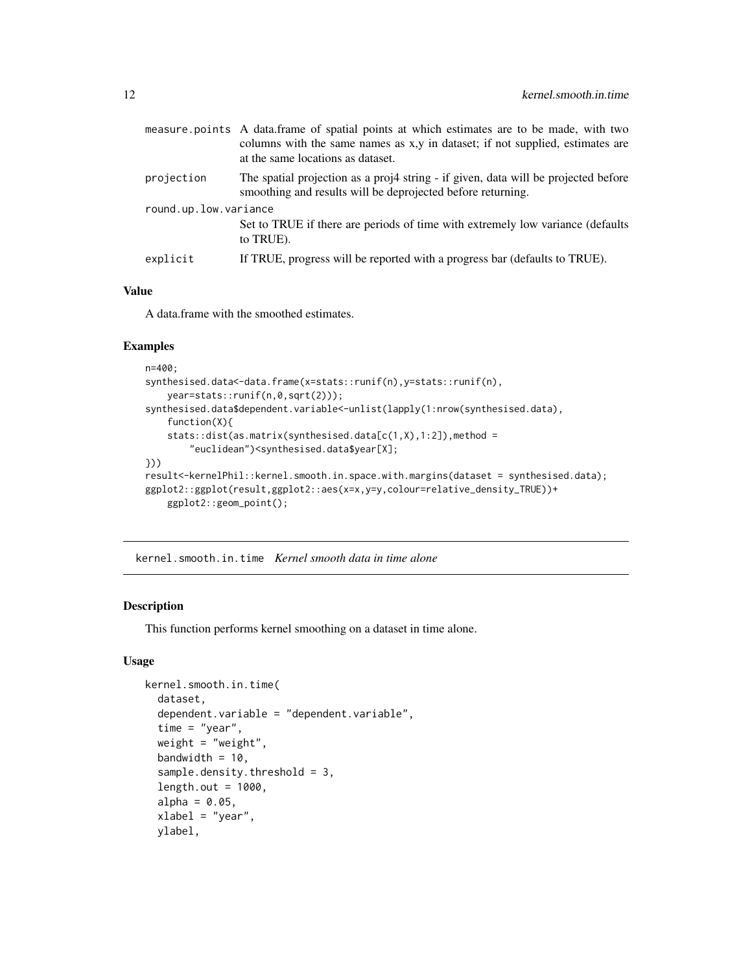<span id="page-11-0"></span>

|                       | measure points A data.frame of spatial points at which estimates are to be made, with two<br>columns with the same names as x,y in dataset; if not supplied, estimates are<br>at the same locations as dataset. |  |
|-----------------------|-----------------------------------------------------------------------------------------------------------------------------------------------------------------------------------------------------------------|--|
| projection            | The spatial projection as a proj4 string - if given, data will be projected before                                                                                                                              |  |
|                       | smoothing and results will be deprojected before returning.                                                                                                                                                     |  |
| round.up.low.variance |                                                                                                                                                                                                                 |  |
|                       | Set to TRUE if there are periods of time with extremely low variance (defaults)<br>to TRUE).                                                                                                                    |  |
| explicit              | If TRUE, progress will be reported with a progress bar (defaults to TRUE).                                                                                                                                      |  |
|                       |                                                                                                                                                                                                                 |  |

A data.frame with the smoothed estimates.

#### Examples

```
n=400;
synthesised.data<-data.frame(x=stats::runif(n),y=stats::runif(n),
   year=stats::runif(n,0,sqrt(2)));
synthesised.data$dependent.variable<-unlist(lapply(1:nrow(synthesised.data),
   function(X){
   stats::dist(as.matrix(synthesised.data[c(1,X),1:2]), method ="euclidean")<synthesised.data$year[X];
}))
result<-kernelPhil::kernel.smooth.in.space.with.margins(dataset = synthesised.data);
ggplot2::ggplot(result,ggplot2::aes(x=x,y=y,colour=relative_density_TRUE))+
   ggplot2::geom_point();
```
kernel.smooth.in.time *Kernel smooth data in time alone*

#### Description

This function performs kernel smoothing on a dataset in time alone.

#### Usage

```
kernel.smooth.in.time(
  dataset,
  dependent.variable = "dependent.variable",
  time = "year",weight = "weight",
  bandwidth = 10,
  sample.density.threshold = 3,
  length.out = 1000,
  alpha = 0.05,
  xlabel = "year",ylabel,
```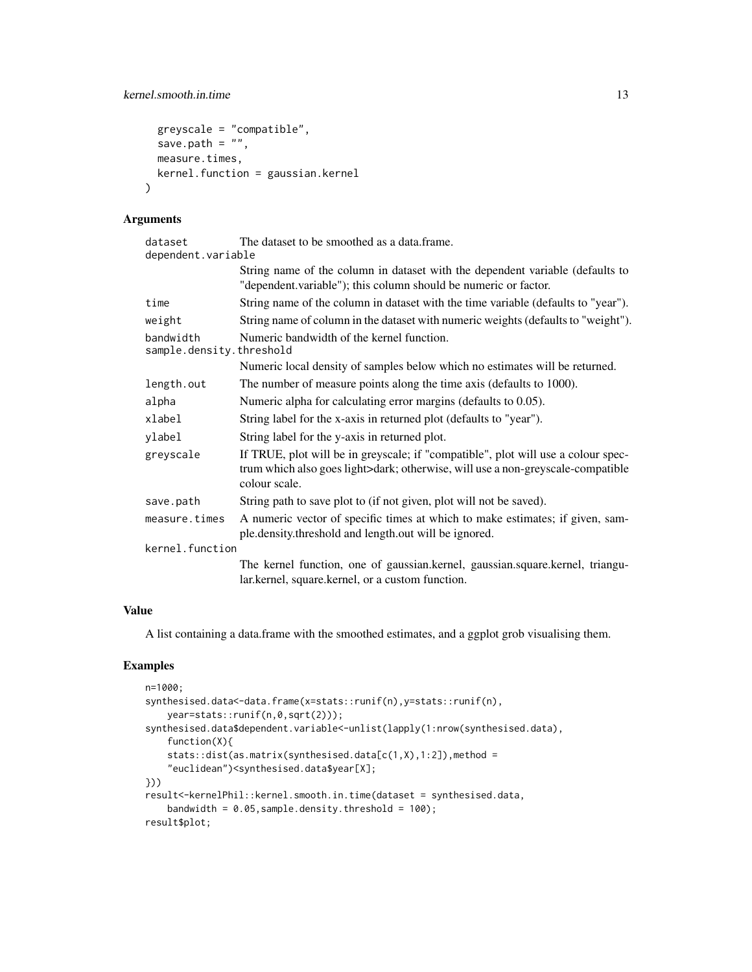```
greyscale = "compatible",
 save.path = ",
 measure.times,
 kernel.function = gaussian.kernel
\lambda
```
#### Arguments

| dataset                               | The dataset to be smoothed as a data.frame.                                                                                                                                           |
|---------------------------------------|---------------------------------------------------------------------------------------------------------------------------------------------------------------------------------------|
| dependent.variable                    |                                                                                                                                                                                       |
|                                       | String name of the column in dataset with the dependent variable (defaults to<br>"dependent.variable"); this column should be numeric or factor.                                      |
| time                                  | String name of the column in dataset with the time variable (defaults to "year").                                                                                                     |
| weight                                | String name of column in the dataset with numeric weights (defaults to "weight").                                                                                                     |
| bandwidth<br>sample.density.threshold | Numeric bandwidth of the kernel function.                                                                                                                                             |
|                                       | Numeric local density of samples below which no estimates will be returned.                                                                                                           |
| length.out                            | The number of measure points along the time axis (defaults to 1000).                                                                                                                  |
| alpha                                 | Numeric alpha for calculating error margins (defaults to 0.05).                                                                                                                       |
| xlabel                                | String label for the x-axis in returned plot (defaults to "year").                                                                                                                    |
| ylabel                                | String label for the y-axis in returned plot.                                                                                                                                         |
| greyscale                             | If TRUE, plot will be in greyscale; if "compatible", plot will use a colour spec-<br>trum which also goes light>dark; otherwise, will use a non-greyscale-compatible<br>colour scale. |
| save.path                             | String path to save plot to (if not given, plot will not be saved).                                                                                                                   |
| measure.times                         | A numeric vector of specific times at which to make estimates; if given, sam-<br>ple.density.threshold and length.out will be ignored.                                                |
| kernel.function                       |                                                                                                                                                                                       |
|                                       | The kernel function, one of gaussian.kernel, gaussian.square.kernel, triangu-                                                                                                         |
|                                       | lar.kernel, square.kernel, or a custom function.                                                                                                                                      |

## Value

A list containing a data.frame with the smoothed estimates, and a ggplot grob visualising them.

## Examples

```
n=1000;
synthesised.data<-data.frame(x=stats::runif(n),y=stats::runif(n),
   year=stats::runif(n,0,sqrt(2)));
synthesised.data$dependent.variable<-unlist(lapply(1:nrow(synthesised.data),
   function(X){
    stats::dist(as.matrix(synthesised.data[c(1,X),1:2]),method =
    "euclidean")<synthesised.data$year[X];
}))
result<-kernelPhil::kernel.smooth.in.time(dataset = synthesised.data,
    bandwidth = 0.05, sample.density.threshold = 100);
result$plot;
```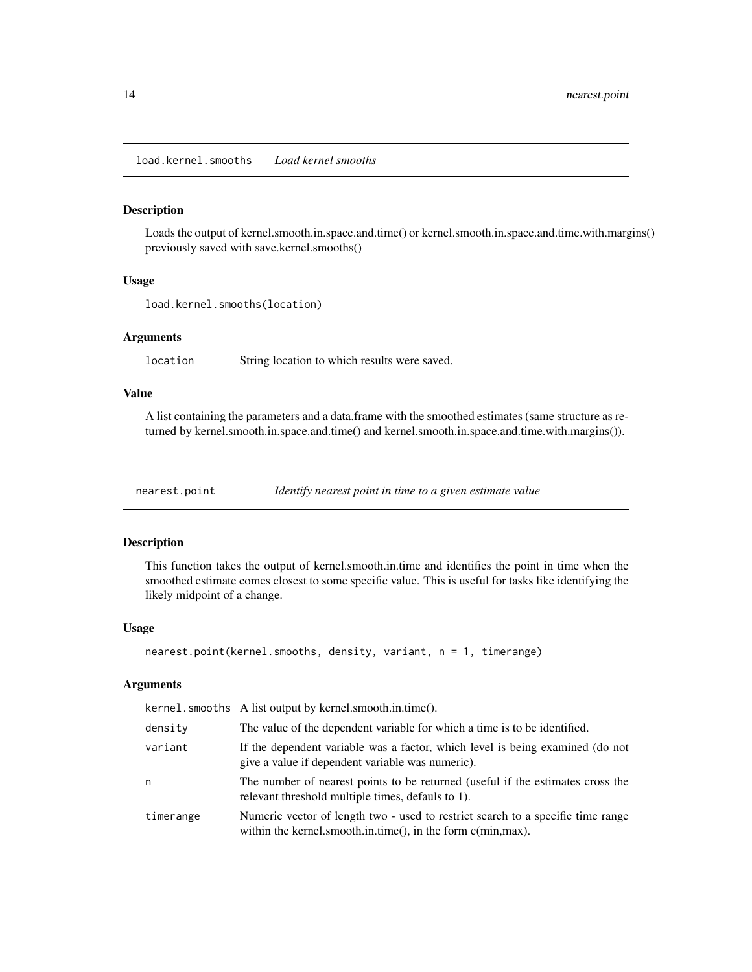<span id="page-13-0"></span>load.kernel.smooths *Load kernel smooths*

#### Description

Loads the output of kernel.smooth.in.space.and.time() or kernel.smooth.in.space.and.time.with.margins() previously saved with save.kernel.smooths()

#### Usage

load.kernel.smooths(location)

#### Arguments

location String location to which results were saved.

#### Value

A list containing the parameters and a data.frame with the smoothed estimates (same structure as returned by kernel.smooth.in.space.and.time() and kernel.smooth.in.space.and.time.with.margins()).

nearest.point *Identify nearest point in time to a given estimate value*

#### Description

This function takes the output of kernel.smooth.in.time and identifies the point in time when the smoothed estimate comes closest to some specific value. This is useful for tasks like identifying the likely midpoint of a change.

#### Usage

```
nearest.point(kernel.smooths, density, variant, n = 1, timerange)
```

|           | kernel.smooths A list output by kernel.smooth.in.time().                                                                                             |
|-----------|------------------------------------------------------------------------------------------------------------------------------------------------------|
| density   | The value of the dependent variable for which a time is to be identified.                                                                            |
| variant   | If the dependent variable was a factor, which level is being examined (do not<br>give a value if dependent variable was numeric).                    |
| n         | The number of nearest points to be returned (useful if the estimates cross the<br>relevant threshold multiple times, defauls to 1).                  |
| timerange | Numeric vector of length two - used to restrict search to a specific time range<br>within the kernel smooth in time(), in the form $c(\min, \max)$ . |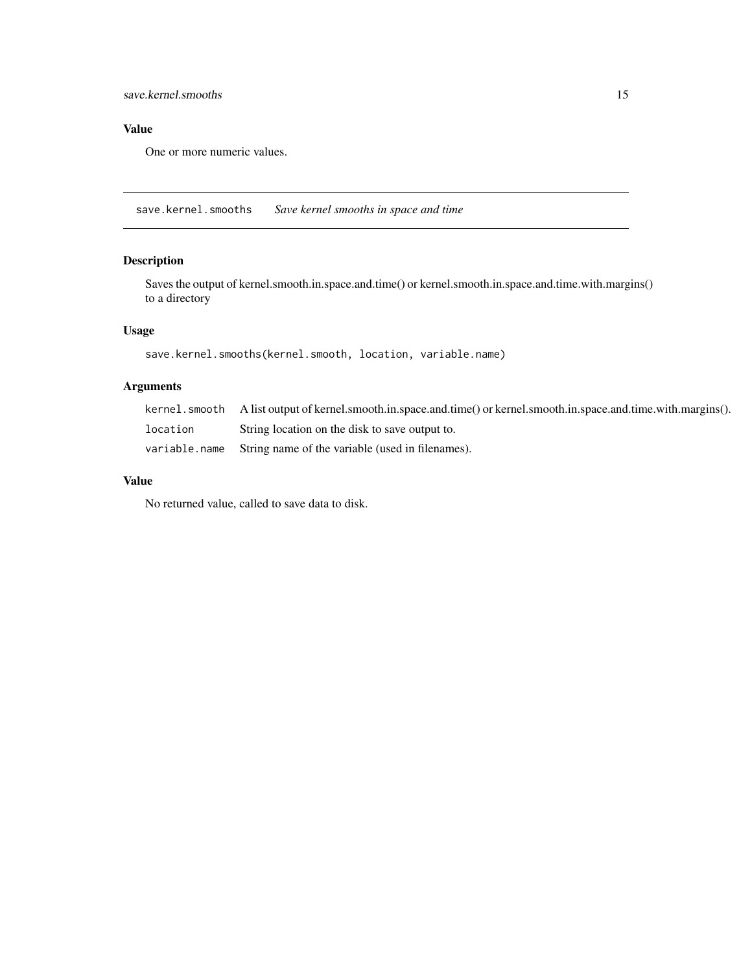<span id="page-14-0"></span>One or more numeric values.

save.kernel.smooths *Save kernel smooths in space and time*

## Description

Saves the output of kernel.smooth.in.space.and.time() or kernel.smooth.in.space.and.time.with.margins() to a directory

## Usage

```
save.kernel.smooths(kernel.smooth, location, variable.name)
```
## Arguments

|          | kernel, smooth A list output of kernel, smooth, in, space, and, time() or kernel, smooth, in, space, and, time, with, margins(). |
|----------|----------------------------------------------------------------------------------------------------------------------------------|
| location | String location on the disk to save output to.                                                                                   |
|          | variable.name String name of the variable (used in filenames).                                                                   |

## Value

No returned value, called to save data to disk.